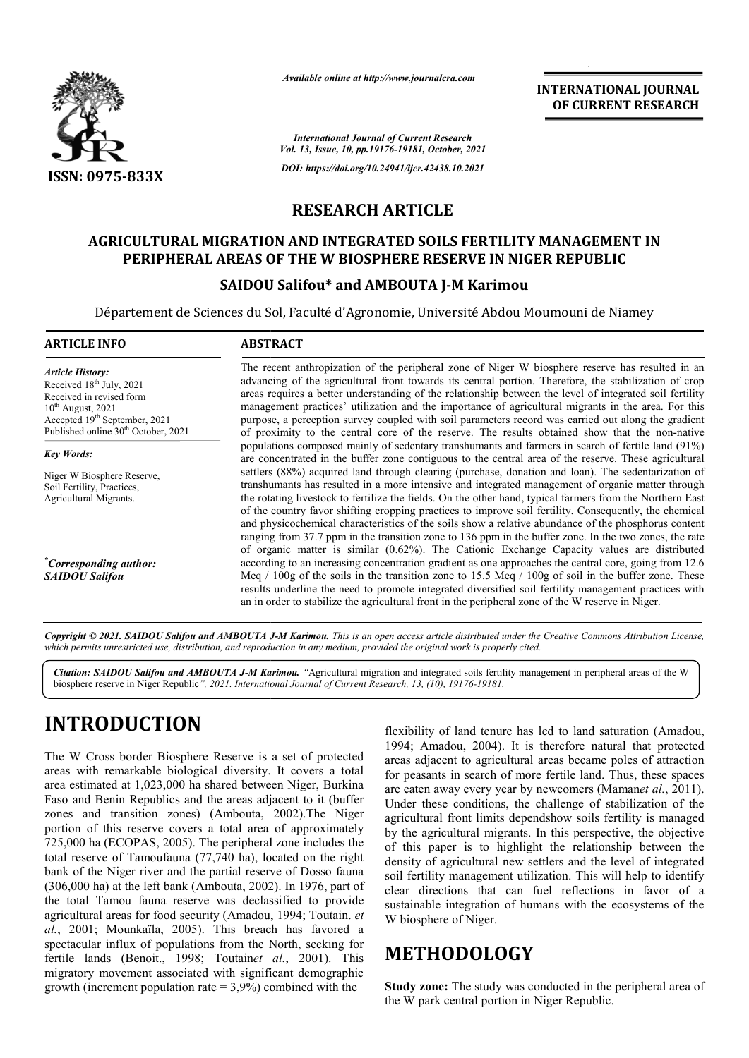

*Available online at http://www.journalcra.com*

**INTERNATIONAL JOURNAL OF CURRENT RESEARCH**

*International Journal of Current Research Vol. 13, Issue, 10, pp.19176-19181, October, 2021 DOI: https://doi.org/10.24941/ijcr.42438.10.2021*

## **RESEARCH ARTICLE**

# **AGRICULTURAL MIGRATION AND INTEGRATED SOILS FERTILITY MANAGEMENT IN AGRICULTURAL MIGRATION INTEGRATED SOILS REPUBLICPERIPHERAL AREAS OF THE W BIOSPHERE RESERVE IN NIGER REPUBLIC**

#### **SAIDOU Salifou\* and AMBOUTA J-M Karimou**

Département de Sciences du Sol, Faculté d'Agronomie, Université Abdou Moumouni de Niamey Abdou Moumouni

#### **ARTICLE INFO ABSTRACT**

*Article History: Article History:* Received  $18<sup>th</sup>$  July, 2021 Received in revised form Received in revised form Received  $10^{th}$  August, 2021 Accepted 19<sup>th</sup> September, 2021 Published online 30<sup>th</sup> October, 2021

*Key Words:*

Niger W Biosphere Reserve, Soil Fertility, Practices, Agricultural Migrants.

*\* Corresponding author: SAIDOU Salifou*

The recent anthropization of the peripheral zone of Niger W biosphere reserve has resulted in an advancing of the agricultural front towards its central portion. Therefore, the stabilization of crop areas requires a better understanding of the relationship between the level of integrated soil fertility managemen management practices' utilization and the importance of agricultural migrants in the area. For this purpose, a perception survey coupled with soil parameters record was carried out along the gradient of proximity to the central core of the reserve. The results obta populations composed mainly of sedentary transhumants and farmers in search of fertile land (91%) are concentrated in the buffer zone contiguous to the central area of the reserve. These agricultural settlers (88%) acquired land through clearing (purchase, donation and loan). The sedentarization of transhumants has resulted in a more intensive and integrated management of organic matter through the rotating livestock to fertilize the fields. On the other hand, typical farmers from the Northern East of the country favor shifting cropping practices to improve soil fertility. Consequently, the chemical and physicochemical characteristics of the soils show a relative abundance of the phosphorus content ranging from 37.7 ppm in the transition zone to 136 ppm in the buffer zone. In the two zones, the rate of organic matter is similar (0.62%). The Cationic Exchange Capacity values are distributed according to an increasing concentration gradient as one approaches the central core, going from 12.6 Meq / 100g of the soils in the transition zone to 15.5 Meq / 100g of soil in the buffer zone. These results underline the need to promote integrated diversified soil fertility management practices with an in order to stabilize the agricultural front in the peripheral zone of the W reserve in Niger. The recent anthropization of the peripheral zone of Niger W biosphere reserve has resulted in an advancing of the agricultural front towards its central portion. Therefore, the stabilization of crop areas requires a better populations composed mainly of sedentary transhumants and farmers in search of fertile land (91%) are concentrated in the buffer zone contiguous to the central area of the reserve. These agricultural settlers (88%) acquire of the country favor shifting cropping practices to improve soil fertility. Consequently, the chemical and physicochemical characteristics of the soils show a relative abundance of the phosphorus content ranging from 37.7 Meq  $/100g$  of the soils in the transition zone to 15.5 Meq  $/100g$  of soil in the buffer zone. These results underline the need to promote integrated diversified soil fertility management practices with an in order to st

Copyright © 2021. SAIDOU Salifou and AMBOUTA J-M Karimou. This is an open access article distributed under the Creative Commons Attribution License, which permits unrestricted use, distribution, and reproduction in any medium, provided the original work is properly cited.

Citation: SAIDOU Salifou and AMBOUTA J-M Karimou. "Agricultural migration and integrated soils fertility management in peripheral areas of the W biosphere reserve in Niger Republic*", 2021. International Journal of Current Research, 13, (10), 19176-19181.*

# **INTRODUCTION**

The W Cross border Biosphere Reserve is a set of protected areas with remarkable biological diversity. It covers a total area estimated at 1,023,000 ha shared between Niger, Burkina Faso and Benin Republics and the areas adjacent to it (buffer zones and transition zones) (Ambouta, 2002).The Niger portion of this reserve covers a total area of approximately 725,000 ha (ECOPAS, 2005). The peripheral zone includes the total reserve of Tamoufauna (77,740 ha), located on the right bank of the Niger river and the partial reserve of Dosso fauna (306,000 ha) at the left bank (Ambouta, 2002). In 1976, part of the total Tamou fauna reserve was declassified to provide agricultural areas for food security (Amadou, 1994; Toutain. *et al.*, 2001; Mounkaïla, 2005). This breach has favored a spectacular influx of populations from the North, seeking for fertile lands (Benoit., 1998; Toutain*et al.* , 2001). This migratory movement associated with significant demographic growth (increment population rate  $= 3.9\%$ ) combined with the

flexibility of land tenure has led to land saturation (Amadou, 1994; Amadou, 2004). It is therefore natural that protected areas adjacent to agricultural areas became poles of attraction for peasants in search of more fertile land. Thus, these spaces are eaten away every year by newcomers (Maman *et al.*, 2011). Under these conditions, the challenge of stabilization of the agricultural front limits dependshow soils fertility is managed by the agricultural migrants. In this perspective, the objective of this paper is to highlight the relationship between the density of agricultural new settlers and the level of integrated soil fertility management utilization. This will help to identify clear directions that can fuel reflections in favor of a sustainable integration of humans with the ecosystems of the W biosphere of Niger. I and tenure has led to land saturation (Amadou, ou, 2004). It is therefore natural that protected it to agricultural areas became poles of attraction in search of more fertile land. Thus, these spaces Under these conditions, the challenge of stabilization of the agricultural front limits dependshow soils fertility is managed by the agricultural migrants. In this perspective, the objective of this paper is to highlight t

# **METHODOLOGY**

**Study zone:** The study was conducted in the peripheral area of the W park central portion in Niger Republic.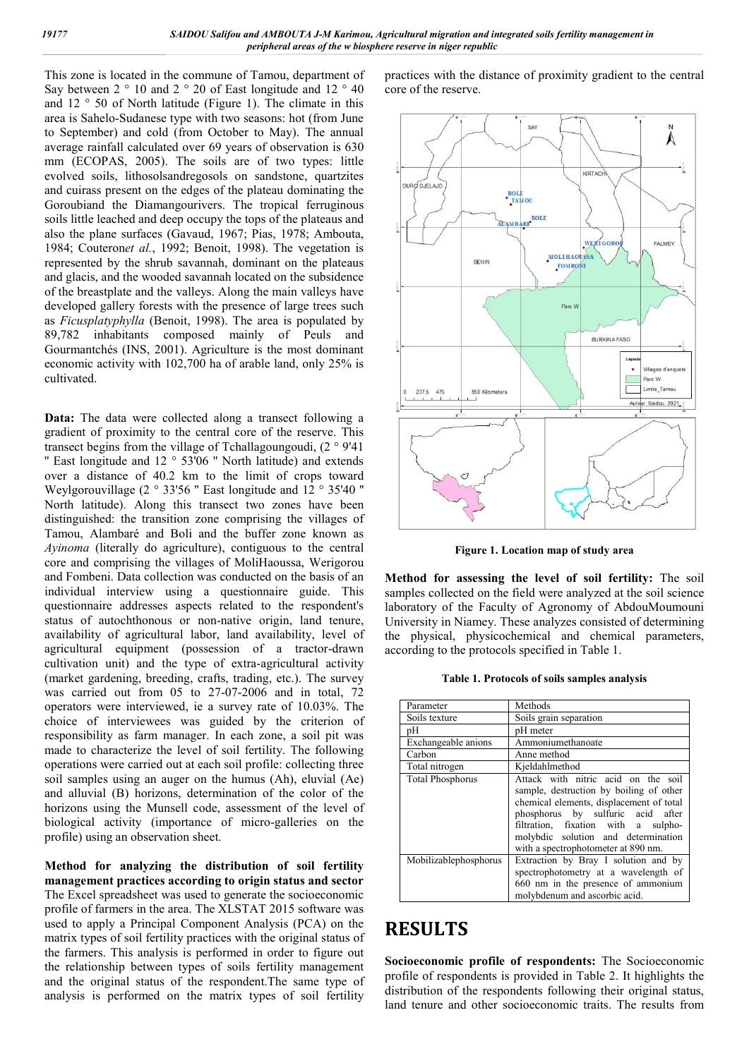This zone is located in the commune of Tamou, department of Say between  $2 \degree 10$  and  $2 \degree 20$  of East longitude and  $12 \degree 40$ and 12 ° 50 of North latitude (Figure 1). The climate in this area is Sahelo-Sudanese type with two seasons: hot (from June to September) and cold (from October to May). The annual average rainfall calculated over 69 years of observation is 630 mm (ECOPAS, 2005). The soils are of two types: little evolved soils, lithosolsandregosols on sandstone, quartzites and cuirass present on the edges of the plateau dominating the Goroubiand the Diamangourivers. The tropical ferruginous soils little leached and deep occupy the tops of the plateaus and also the plane surfaces (Gavaud, 1967; Pias, 1978; Ambouta, 1984; Couteron*et al.*, 1992; Benoit, 1998). The vegetation is represented by the shrub savannah, dominant on the plateaus and glacis, and the wooded savannah located on the subsidence of the breastplate and the valleys. Along the main valleys have developed gallery forests with the presence of large trees such as *Ficusplatyphylla* (Benoit, 1998). The area is populated by 89,782 inhabitants composed mainly of Peuls and Gourmantchés (INS, 2001). Agriculture is the most dominant economic activity with 102,700 ha of arable land, only 25% is cultivated.

**Data:** The data were collected along a transect following a gradient of proximity to the central core of the reserve. This transect begins from the village of Tchallagoungoudi, (2 ° 9'41 '' East longitude and 12 ° 53'06 '' North latitude) and extends over a distance of 40.2 km to the limit of crops toward Weylgorouvillage (2 ° 33'56 '' East longitude and 12 ° 35'40 '' North latitude). Along this transect two zones have been distinguished: the transition zone comprising the villages of Tamou, Alambaré and Boli and the buffer zone known as *Ayinoma* (literally do agriculture), contiguous to the central core and comprising the villages of MoliHaoussa, Werigorou and Fombeni. Data collection was conducted on the basis of an individual interview using a questionnaire guide. This questionnaire addresses aspects related to the respondent's status of autochthonous or non-native origin, land tenure, availability of agricultural labor, land availability, level of agricultural equipment (possession of a tractor-drawn cultivation unit) and the type of extra-agricultural activity (market gardening, breeding, crafts, trading, etc.). The survey was carried out from 05 to 27-07-2006 and in total, 72 operators were interviewed, ie a survey rate of 10.03%. The choice of interviewees was guided by the criterion of responsibility as farm manager. In each zone, a soil pit was made to characterize the level of soil fertility. The following operations were carried out at each soil profile: collecting three soil samples using an auger on the humus (Ah), eluvial (Ae) and alluvial (B) horizons, determination of the color of the horizons using the Munsell code, assessment of the level of biological activity (importance of micro-galleries on the profile) using an observation sheet.

**Method for analyzing the distribution of soil fertility management practices according to origin status and sector** The Excel spreadsheet was used to generate the socioeconomic profile of farmers in the area. The XLSTAT 2015 software was used to apply a Principal Component Analysis (PCA) on the matrix types of soil fertility practices with the original status of the farmers. This analysis is performed in order to figure out the relationship between types of soils fertility management and the original status of the respondent.The same type of analysis is performed on the matrix types of soil fertility practices with the distance of proximity gradient to the central core of the reserve.



**Figure 1. Location map of study area**

**Method for assessing the level of soil fertility:** The soil samples collected on the field were analyzed at the soil science laboratory of the Faculty of Agronomy of AbdouMoumouni University in Niamey. These analyzes consisted of determining the physical, physicochemical and chemical parameters, according to the protocols specified in Table 1.

**Table 1. Protocols of soils samples analysis**

| Parameter               | Methods                                                                                                                                                                                                                                                                              |  |  |
|-------------------------|--------------------------------------------------------------------------------------------------------------------------------------------------------------------------------------------------------------------------------------------------------------------------------------|--|--|
| Soils texture           | Soils grain separation                                                                                                                                                                                                                                                               |  |  |
| pH                      | pH meter                                                                                                                                                                                                                                                                             |  |  |
| Exchangeable anions     | Ammoniumethanoate                                                                                                                                                                                                                                                                    |  |  |
| Carbon                  | Anne method                                                                                                                                                                                                                                                                          |  |  |
| Total nitrogen          | Kjeldahlmethod                                                                                                                                                                                                                                                                       |  |  |
| <b>Total Phosphorus</b> | Attack with nitric acid on the soil<br>sample, destruction by boiling of other<br>chemical elements, displacement of total<br>phosphorus by sulfuric acid after<br>filtration, fixation with a sulpho-<br>molybdic solution and determination<br>with a spectrophotometer at 890 nm. |  |  |
| Mobilizablephosphorus   | Extraction by Bray I solution and by<br>spectrophotometry at a wavelength of<br>660 nm in the presence of ammonium<br>molybdenum and ascorbic acid.                                                                                                                                  |  |  |

### **RESULTS**

**Socioeconomic profile of respondents:** The Socioeconomic profile of respondents is provided in Table 2. It highlights the distribution of the respondents following their original status, land tenure and other socioeconomic traits. The results from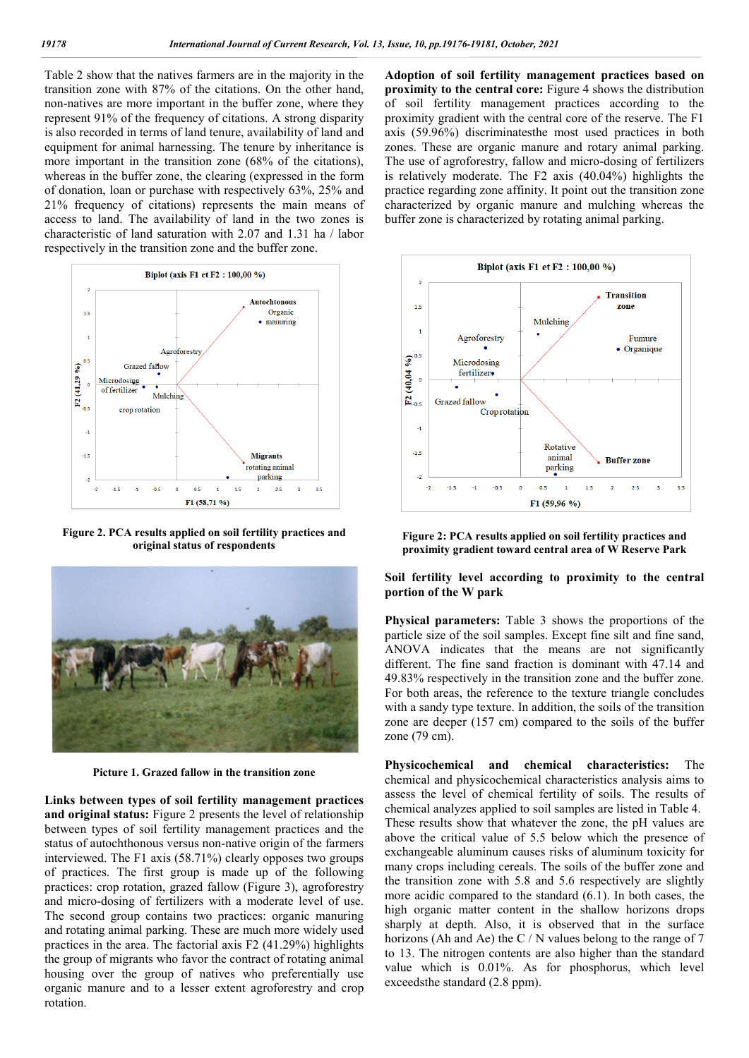Table 2 show that the natives farmers are in the majority in the transition zone with 87% of the citations. On the other hand, non-natives are more important in the buffer zone, where they represent 91% of the frequency of citations. A strong disparity is also recorded in terms of land tenure, availability of land and equipment for animal harnessing. The tenure by inheritance is more important in the transition zone (68% of the citations), whereas in the buffer zone, the clearing (expressed in the form of donation, loan or purchase with respectively 63%, 25% and 21% frequency of citations) represents the main means of access to land. The availability of land in the two zones is characteristic of land saturation with 2.07 and 1.31 ha / labor respectively in the transition zone and the buffer zone.



**Figure 2. PCA results applied on soil fertility practices and original status of respondents**



**Picture 1. Grazed fallow in the transition zone**

**Links between types of soil fertility management practices and original status:** Figure 2 presents the level of relationship between types of soil fertility management practices and the status of autochthonous versus non-native origin of the farmers interviewed. The F1 axis (58.71%) clearly opposes two groups of practices. The first group is made up of the following practices: crop rotation, grazed fallow (Figure 3), agroforestry and micro-dosing of fertilizers with a moderate level of use. The second group contains two practices: organic manuring and rotating animal parking. These are much more widely used practices in the area. The factorial axis F2 (41.29%) highlights the group of migrants who favor the contract of rotating animal housing over the group of natives who preferentially use organic manure and to a lesser extent agroforestry and crop rotation.

**Adoption of soil fertility management practices based on proximity to the central core:** Figure 4 shows the distribution of soil fertility management practices according to the proximity gradient with the central core of the reserve. The F1 axis (59.96%) discriminatesthe most used practices in both zones. These are organic manure and rotary animal parking. The use of agroforestry, fallow and micro-dosing of fertilizers is relatively moderate. The F2 axis (40.04%) highlights the practice regarding zone affinity. It point out the transition zone characterized by organic manure and mulching whereas the buffer zone is characterized by rotating animal parking.



**Figure 2: PCA results applied on soil fertility practices and proximity gradient toward central area of W Reserve Park**

**Soil fertility level according to proximity to the central portion of the W park**

**Physical parameters:** Table 3 shows the proportions of the particle size of the soil samples. Except fine silt and fine sand, ANOVA indicates that the means are not significantly different. The fine sand fraction is dominant with 47.14 and 49.83% respectively in the transition zone and the buffer zone. For both areas, the reference to the texture triangle concludes with a sandy type texture. In addition, the soils of the transition zone are deeper (157 cm) compared to the soils of the buffer zone (79 cm).

**Physicochemical and chemical characteristics:** The chemical and physicochemical characteristics analysis aims to assess the level of chemical fertility of soils. The results of chemical analyzes applied to soil samples are listed in Table 4. These results show that whatever the zone, the pH values are above the critical value of 5.5 below which the presence of exchangeable aluminum causes risks of aluminum toxicity for many crops including cereals. The soils of the buffer zone and the transition zone with 5.8 and 5.6 respectively are slightly more acidic compared to the standard (6.1). In both cases, the high organic matter content in the shallow horizons drops sharply at depth. Also, it is observed that in the surface horizons (Ah and Ae) the C / N values belong to the range of 7 to 13. The nitrogen contents are also higher than the standard value which is 0.01%. As for phosphorus, which level exceedsthe standard (2.8 ppm).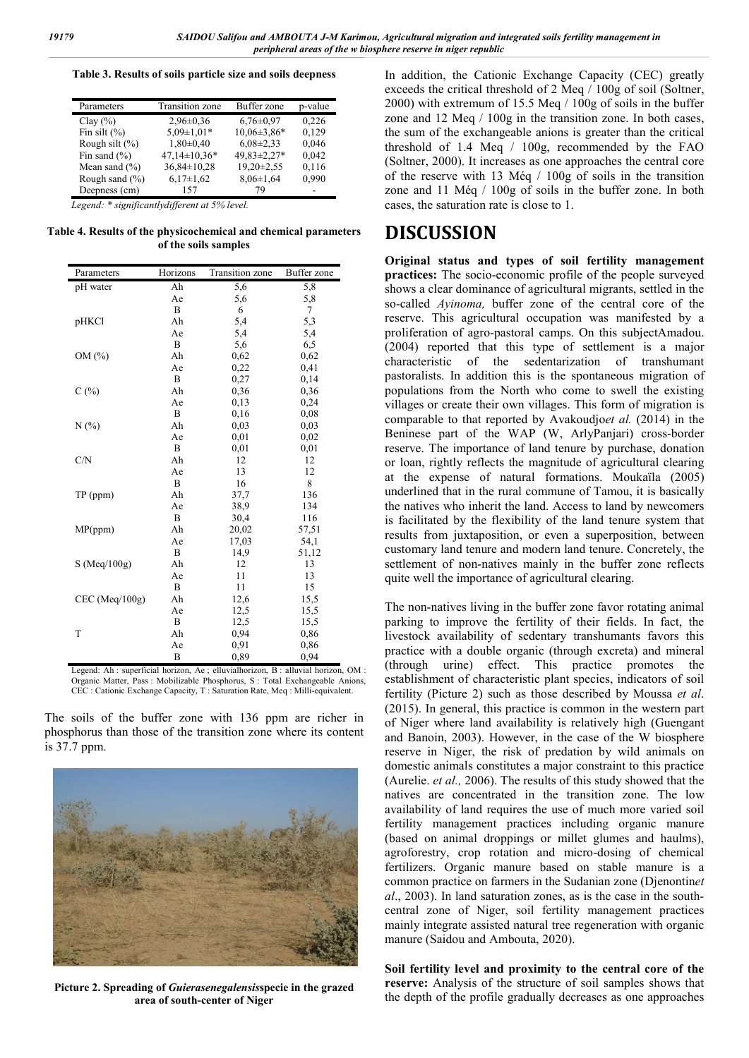**Table 3. Results of soils particle size and soils deepness**

| Parameters         | <b>Transition zone</b> | Buffer zone     | p-value |
|--------------------|------------------------|-----------------|---------|
| Clay $(\% )$       | $2,96\pm0.36$          | $6,76 \pm 0.97$ | 0.226   |
| Fin silt $(\% )$   | $5.09 \pm 1.01*$       | $10,06\pm3,86*$ | 0,129   |
| Rough silt $(\%)$  | $1,80\pm0.40$          | $6,08\pm2,33$   | 0,046   |
| Fin sand $(\% )$   | $47,14\pm10,36*$       | 49,83±2,27*     | 0,042   |
| Mean sand $(\% )$  | $36,84 \pm 10,28$      | 19,20±2,55      | 0,116   |
| Rough sand $(\% )$ | $6,17\pm1,62$          | $8,06 \pm 1,64$ | 0.990   |
| Deepness (cm)      | 157                    | 70              |         |

*Legend: \* significantlydifferent at 5% level.*

**Table 4. Results of the physicochemical and chemical parameters of the soils samples**

| Parameters       | Horizons | Transition zone | Buffer zone |
|------------------|----------|-----------------|-------------|
| pH water         | Ah       | 5,6             | 5,8         |
|                  | Ae       | 5,6             | 5,8         |
|                  | B        | 6               | 7           |
| pHKCl            | Ah       | 5,4             | 5,3         |
|                  | Ae       | 5,4             | 5,4         |
|                  | B        | 5,6             | 6,5         |
| OM (%)           | Ah       | 0,62            | 0,62        |
|                  | Ae       | 0,22            | 0,41        |
|                  | B        | 0,27            | 0,14        |
| C(%)             | Ah       | 0,36            | 0,36        |
|                  | Ae       | 0,13            | 0,24        |
|                  | B        | 0,16            | 0,08        |
| N(%)             | Ah       | 0.03            | 0.03        |
|                  | Ae       | 0.01            | 0.02        |
|                  | B        | 0,01            | 0,01        |
| C/N              | Ah       | 12              | 12          |
|                  | Ae       | 13              | 12          |
|                  | B        | 16              | 8           |
| TP (ppm)         | Ah       | 37,7            | 136         |
|                  | Ae       | 38,9            | 134         |
|                  | B        | 30,4            | 116         |
| MP(ppm)          | Ah       | 20,02           | 57,51       |
|                  | Ae       | 17,03           | 54,1        |
|                  | B        | 14,9            | 51,12       |
| S(Meq/100g)      | Ah       | 12              | 13          |
|                  | Ae       | 11              | 13          |
|                  | B        | 11              | 15          |
| $CEC$ (Meq/100g) | Ah       | 12,6            | 15,5        |
|                  | Ae       | 12,5            | 15,5        |
|                  | B        | 12,5            | 15,5        |
| T                | Ah       | 0,94            | 0,86        |
|                  | Ae       | 0,91            | 0,86        |
|                  | B        | 0,89            | 0,94        |

Legend: Ah : superficial horizon, Ae ; elluvialhorizon, B : alluvial horizon, OM : Organic Matter, Pass : Mobilizable Phosphorus, S : Total Exchangeable Anions, CEC : Cationic Exchange Capacity, T : Saturation Rate, Meq : Milli-equivalent.

The soils of the buffer zone with 136 ppm are richer in phosphorus than those of the transition zone where its content is 37.7 ppm.



**Picture 2. Spreading of** *Guierasenegalensis***specie in the grazed area of south-center of Niger**

In addition, the Cationic Exchange Capacity (CEC) greatly exceeds the critical threshold of 2 Meq / 100g of soil (Soltner, 2000) with extremum of 15.5 Meq / 100g of soils in the buffer zone and 12 Meq / 100g in the transition zone. In both cases, the sum of the exchangeable anions is greater than the critical threshold of 1.4 Meq / 100g, recommended by the FAO (Soltner, 2000). It increases as one approaches the central core of the reserve with 13 Méq / 100g of soils in the transition zone and 11 Méq / 100g of soils in the buffer zone. In both cases, the saturation rate is close to 1.

## **DISCUSSION**

**Original status and types of soil fertility management practices:** The socio-economic profile of the people surveyed shows a clear dominance of agricultural migrants, settled in the so-called *Ayinoma,* buffer zone of the central core of the reserve. This agricultural occupation was manifested by a proliferation of agro-pastoral camps. On this subjectAmadou. (2004) reported that this type of settlement is a major characteristic of the sedentarization of transhumant pastoralists. In addition this is the spontaneous migration of populations from the North who come to swell the existing villages or create their own villages. This form of migration is comparable to that reported by Avakoudjo*et al.* (2014) in the Beninese part of the WAP (W, ArlyPanjari) cross-border reserve. The importance of land tenure by purchase, donation or loan, rightly reflects the magnitude of agricultural clearing at the expense of natural formations. Moukaïla (2005) underlined that in the rural commune of Tamou, it is basically the natives who inherit the land. Access to land by newcomers is facilitated by the flexibility of the land tenure system that results from juxtaposition, or even a superposition, between customary land tenure and modern land tenure. Concretely, the settlement of non-natives mainly in the buffer zone reflects quite well the importance of agricultural clearing.

The non-natives living in the buffer zone favor rotating animal parking to improve the fertility of their fields. In fact, the livestock availability of sedentary transhumants favors this practice with a double organic (through excreta) and mineral (through urine) effect. This practice promotes the establishment of characteristic plant species, indicators of soil fertility (Picture 2) such as those described by Moussa *et al*. (2015). In general, this practice is common in the western part of Niger where land availability is relatively high (Guengant and Banoin, 2003). However, in the case of the W biosphere reserve in Niger, the risk of predation by wild animals on domestic animals constitutes a major constraint to this practice (Aurelie. *et al.,* 2006). The results of this study showed that the natives are concentrated in the transition zone. The low availability of land requires the use of much more varied soil fertility management practices including organic manure (based on animal droppings or millet glumes and haulms), agroforestry, crop rotation and micro-dosing of chemical fertilizers. Organic manure based on stable manure is a common practice on farmers in the Sudanian zone (Djenontin*et al*., 2003). In land saturation zones, as is the case in the southcentral zone of Niger, soil fertility management practices mainly integrate assisted natural tree regeneration with organic manure (Saidou and Ambouta, 2020).

**Soil fertility level and proximity to the central core of the reserve:** Analysis of the structure of soil samples shows that the depth of the profile gradually decreases as one approaches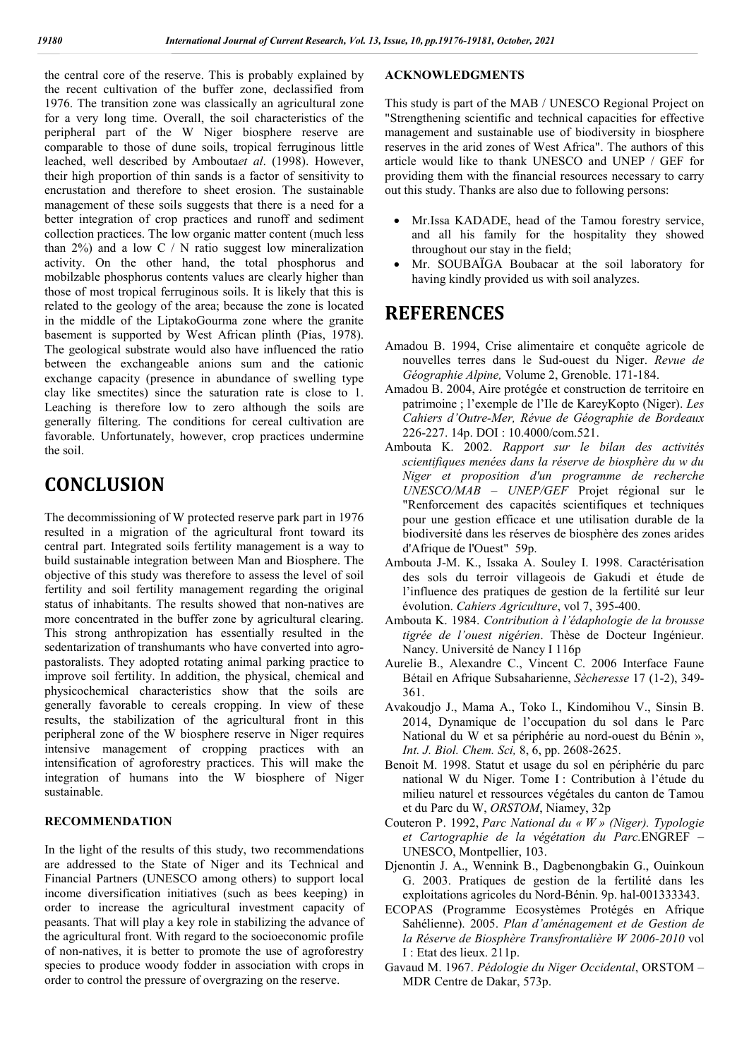the central core of the reserve. This is probably explained by the recent cultivation of the buffer zone, declassified from 1976. The transition zone was classically an agricultural zone for a very long time. Overall, the soil characteristics of the peripheral part of the W Niger biosphere reserve are comparable to those of dune soils, tropical ferruginous little leached, well described by Ambouta*et al*. (1998). However, their high proportion of thin sands is a factor of sensitivity to encrustation and therefore to sheet erosion. The sustainable management of these soils suggests that there is a need for a better integration of crop practices and runoff and sediment collection practices. The low organic matter content (much less than  $2\%$ ) and a low C / N ratio suggest low mineralization activity. On the other hand, the total phosphorus and mobilzable phosphorus contents values are clearly higher than those of most tropical ferruginous soils. It is likely that this is related to the geology of the area; because the zone is located in the middle of the LiptakoGourma zone where the granite basement is supported by West African plinth (Pias, 1978). The geological substrate would also have influenced the ratio between the exchangeable anions sum and the cationic exchange capacity (presence in abundance of swelling type clay like smectites) since the saturation rate is close to 1. Leaching is therefore low to zero although the soils are generally filtering. The conditions for cereal cultivation are favorable. Unfortunately, however, crop practices undermine the soil.

# **CONCLUSION**

The decommissioning of W protected reserve park part in 1976 resulted in a migration of the agricultural front toward its central part. Integrated soils fertility management is a way to build sustainable integration between Man and Biosphere. The objective of this study was therefore to assess the level of soil fertility and soil fertility management regarding the original status of inhabitants. The results showed that non-natives are more concentrated in the buffer zone by agricultural clearing. This strong anthropization has essentially resulted in the sedentarization of transhumants who have converted into agropastoralists. They adopted rotating animal parking practice to improve soil fertility. In addition, the physical, chemical and physicochemical characteristics show that the soils are generally favorable to cereals cropping. In view of these results, the stabilization of the agricultural front in this peripheral zone of the W biosphere reserve in Niger requires intensive management of cropping practices with an intensification of agroforestry practices. This will make the integration of humans into the W biosphere of Niger sustainable.

#### **RECOMMENDATION**

In the light of the results of this study, two recommendations are addressed to the State of Niger and its Technical and Financial Partners (UNESCO among others) to support local income diversification initiatives (such as bees keeping) in order to increase the agricultural investment capacity of peasants. That will play a key role in stabilizing the advance of the agricultural front. With regard to the socioeconomic profile of non-natives, it is better to promote the use of agroforestry species to produce woody fodder in association with crops in order to control the pressure of overgrazing on the reserve.

#### **ACKNOWLEDGMENTS**

This study is part of the MAB / UNESCO Regional Project on "Strengthening scientific and technical capacities for effective management and sustainable use of biodiversity in biosphere reserves in the arid zones of West Africa". The authors of this article would like to thank UNESCO and UNEP / GEF for providing them with the financial resources necessary to carry out this study. Thanks are also due to following persons:

- Mr.Issa KADADE, head of the Tamou forestry service, and all his family for the hospitality they showed throughout our stay in the field;
- Mr. SOUBAÏGA Boubacar at the soil laboratory for having kindly provided us with soil analyzes.

# **REFERENCES**

- Amadou B. 1994, Crise alimentaire et conquête agricole de nouvelles terres dans le Sud-ouest du Niger. *Revue de Géographie Alpine,* Volume 2, Grenoble. 171-184.
- Amadou B. 2004, Aire protégée et construction de territoire en patrimoine ; l'exemple de l'Ile de KareyKopto (Niger). *Les Cahiers d'Outre-Mer, Révue de Géographie de Bordeaux* 226-227. 14p. DOI : 10.4000/com.521.
- Ambouta K. 2002. *Rapport sur le bilan des activités scientifiques menées dans la réserve de biosphère du w du Niger et proposition d'un programme de recherche UNESCO/MAB – UNEP/GEF* Projet régional sur le "Renforcement des capacités scientifiques et techniques pour une gestion efficace et une utilisation durable de la biodiversité dans les réserves de biosphère des zones arides d'Afrique de l'Ouest" 59p.
- Ambouta J-M. K., Issaka A. Souley I. 1998. Caractérisation des sols du terroir villageois de Gakudi et étude de l'influence des pratiques de gestion de la fertilité sur leur évolution. *Cahiers Agriculture*, vol 7, 395-400.
- Ambouta K. 1984. *Contribution à l'édaphologie de la brousse tigrée de l'ouest nigérien*. Thèse de Docteur Ingénieur. Nancy. Université de Nancy I 116p
- Aurelie B., Alexandre C., Vincent C. 2006 Interface Faune Bétail en Afrique Subsaharienne, *Sècheresse* 17 (1-2), 349- 361.
- Avakoudjo J., Mama A., Toko I., Kindomihou V., Sinsin B. 2014, Dynamique de l'occupation du sol dans le Parc National du W et sa périphérie au nord-ouest du Bénin », *Int. J. Biol. Chem. Sci,* 8, 6, pp. 2608-2625.
- Benoit M. 1998. Statut et usage du sol en périphérie du parc national W du Niger. Tome I : Contribution à l'étude du milieu naturel et ressources végétales du canton de Tamou et du Parc du W, *ORSTOM*, Niamey, 32p
- Couteron P. 1992, *Parc National du « W » (Niger). Typologie et Cartographie de la végétation du Parc.*ENGREF – UNESCO, Montpellier, 103.
- Djenontin J. A., Wennink B., Dagbenongbakin G., Ouinkoun G. 2003. Pratiques de gestion de la fertilité dans les exploitations agricoles du Nord-Bénin. 9p. hal-001333343.
- ECOPAS (Programme Ecosystèmes Protégés en Afrique Sahélienne). 2005. *Plan d'aménagement et de Gestion de la Réserve de Biosphère Transfrontalière W 2006-2010* vol I : Etat des lieux. 211p.
- Gavaud M. 1967. *Pédologie du Niger Occidental*, ORSTOM MDR Centre de Dakar, 573p.